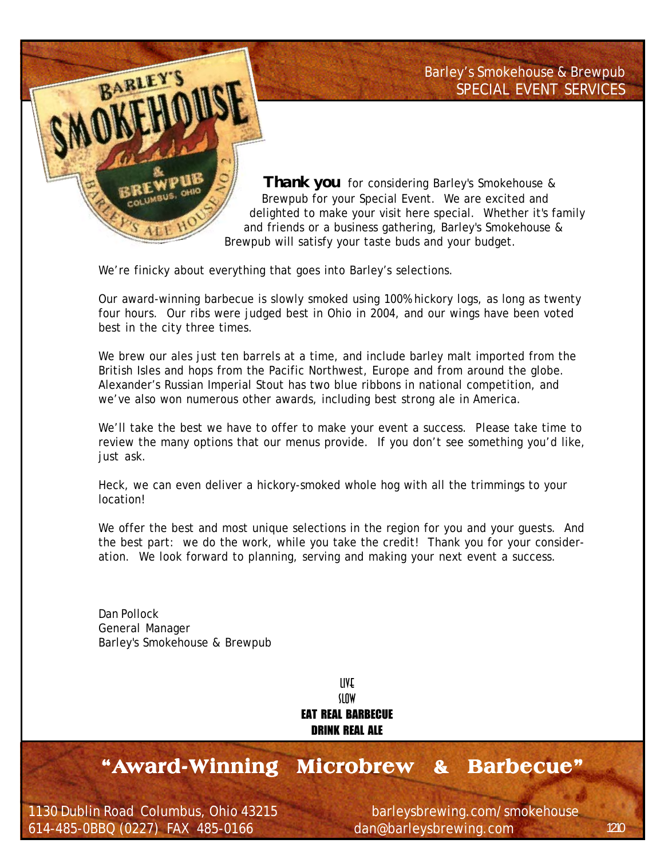Barley's Smokehouse & Brewpub *SPECIAL EVENT SERVICES*



 *Thank you* for considering Barley's Smokehouse & Brewpub for your Special Event. We are excited and delighted to make your visit here special. Whether it's family and friends or a business gathering, Barley's Smokehouse & Brewpub will satisfy your taste buds and your budget.

We're finicky about everything that goes into Barley's selections.

Our award-winning barbecue is slowly smoked using 100% hickory logs, as long as twenty four hours. Our ribs were judged best in Ohio in 2004, and our wings have been voted best in the city three times.

We brew our ales just ten barrels at a time, and include barley malt imported from the British Isles and hops from the Pacific Northwest, Europe and from around the globe. Alexander's Russian Imperial Stout has two blue ribbons in national competition, and we've also won numerous other awards, including best strong ale in America.

We'll take the best we have to offer to make your event a success. Please take time to review the many options that our menus provide. If you don't see something you'd like, just ask.

Heck, we can even deliver a hickory-smoked whole hog with all the trimmings to your location!

We offer the best and most unique selections in the region for you and your guests. And the best part: we do the work, while you take the credit! Thank you for your consideration. We look forward to planning, serving and making your next event a success.

Dan Pollock General Manager Barley's Smokehouse & Brewpub

> LIVE SLOW EAT REAL BARBECUE DRINK REAL ALE

## **"Award-Winning Microbrew & Barbecue" ard-Winning & Barbecue"**

1130 Dublin Road Columbus, Ohio 43215 barleysbrewing.com/smokehouse 614-485-0BBQ (0227) FAX 485-0166 dan@barleysbrewing.com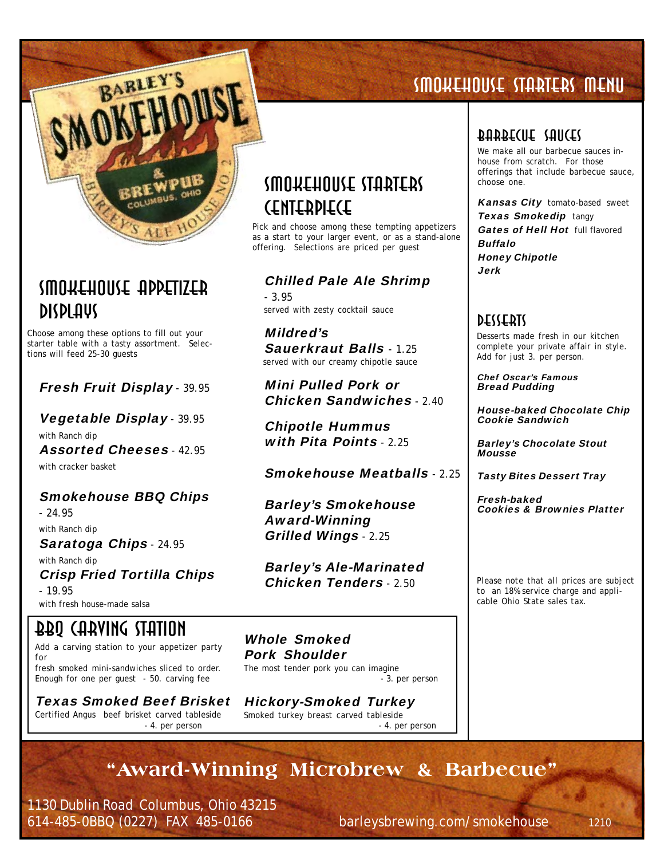

## Smokehouse Appetizer Displays

Choose among these options to fill out your starter table with a tasty assortment. Selections will feed 25-30 guests

### Fresh Fruit Display *-* 39.95

Vegetable Display *-* 39.95 with Ranch dip Assorted Cheeses *-* 42.95 with cracker basket

### Smokehouse BBQ Chips

*-* 24.95

with Ranch dip

Saratoga Chips *-* 24.95

with Ranch dip Crisp Fried Tortilla Chips *-* 19.95

with fresh house-made salsa

## BBQ Carving Station

Add a carving station to your appetizer party for fresh smoked mini-sandwiches sliced to order. Enough for one per guest - 50. carving fee

Texas Smoked Beef Brisket Certified Angus beef brisket carved tableside  *- 4. per person*

## Smokehouse Starters Centerpiece

Pick and choose among these tempting appetizers as a start to your larger event, or as a stand-alone offering. Selections are priced per guest

### Chilled Pale Ale Shrimp

*-* 3.95 served with zesty cocktail sauce

Mildred's Sauerkraut Balls *-* 1.25 served with our creamy chipotle sauce

Mini Pulled Pork or Chicken Sandwiches *-* 2.40

Chipotle Hummus with Pita Points *-* 2.25

Smokehouse Meatballs *-* 2.25

Barley's Smokehouse Award-Winning Grilled Wings *-* 2.25

Barley's Ale-Marinated Chicken Tenders *-* 2.50

Whole Smoked Pork Shoulder The most tender pork you can imagine  *- 3. per person*

Hickory-Smoked Turkey Smoked turkey breast carved tableside  *- 4. per person*

## SMokehouse Starters Menu

## Barbecue Sauces

We make all our barbecue sauces inhouse from scratch. For those offerings that include barbecue sauce, choose one.

Kansas City tomato-based sweet **Texas Smokedip tangy** Gates of Hell Hot full flavored Buffalo Honey Chipotle Jerk

## **DESSEBIS**

Desserts made fresh in our kitchen complete your private affair in style. Add for just 3. per person.

Chef Oscar's Famous Bread Pudding

House-baked Chocolate Chip Cookie Sandwich

Barley's Chocolate Stout **Mousse** 

Tasty Bites Dessert Tray

Fresh-baked Cookies & Brownies Platter

*Please note that all prices are subject to an 18% service charge and applicable Ohio State sales tax.*

**"Award-Winning Microbrew & Barbecue"**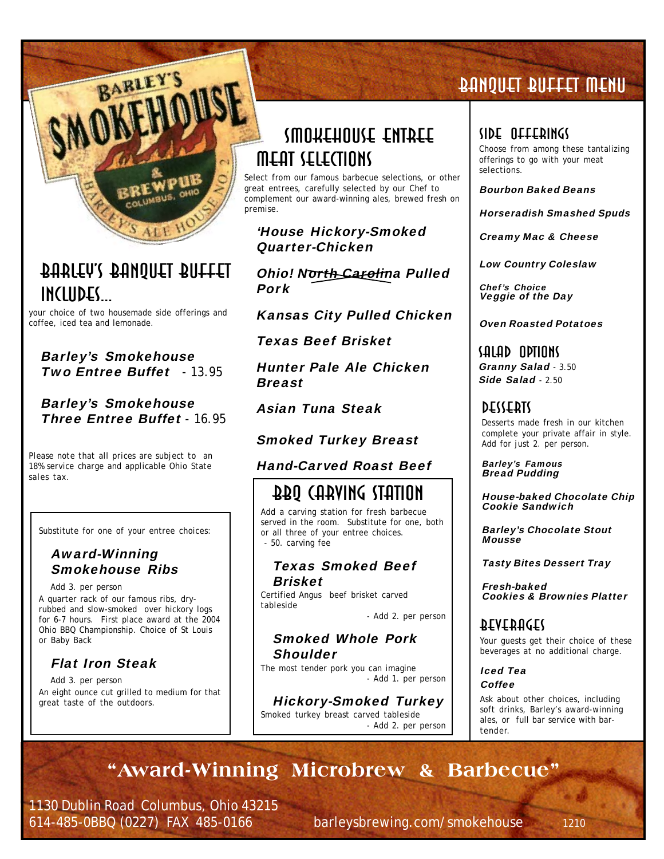

## Barley's Banquet Buffet includes...

your choice of two housemade side offerings and coffee, iced tea and lemonade.

Barley's Smokehouse Two Entree Buffet *-* 13.95

#### Barley's Smokehouse Three Entree Buffet *-* 16.95

*Please note that all prices are subject to an 18% service charge and applicable Ohio State sales tax.*

Substitute for one of your entree choices:

#### Award-Winning Smokehouse Ribs

Add 3. per person

A quarter rack of our famous ribs, dryrubbed and slow-smoked over hickory logs for 6-7 hours. First place award at the 2004 Ohio BBQ Championship. Choice of St Louis or Baby Back

### Flat Iron Steak

Add 3. per person An eight ounce cut grilled to medium for that great taste of the outdoors.

## Smokehouse Entree Meat Selections

Select from our famous barbecue selections, or other great entrees, carefully selected by our Chef to complement our award-winning ales, brewed fresh on premise.

'House Hickory-Smoked Quarter-Chicken

Ohio! North Carolina Pulled Pork

Kansas City Pulled Chicken

Texas Beef Brisket

Hunter Pale Ale Chicken **Breast** 

Asian Tuna Steak

### Smoked Turkey Breast

### Hand-Carved Roast Beef

## BBQ Carving Station

Add a carving station for fresh barbecue served in the room. Substitute for one, both or all three of your entree choices. - 50. carving fee

#### Texas Smoked Beef Brisket

Certified Angus beef brisket carved tableside

*- Add 2. per person*

#### Smoked Whole Pork **Shoulder**

The most tender pork you can imagine *- Add 1. per person*

Hickory-Smoked Turkey

Smoked turkey breast carved tableside *- Add 2. per person*

## Banquet Buffet Menu

### Side Offerings

Choose from among these tantalizing offerings to go with your meat selections.

Bourbon Baked Beans

Horseradish Smashed Spuds

Creamy Mac & Cheese

Low Country Coleslaw

Chef's Choice Veggie of the Day

Oven Roasted Potatoes

### Salad Options Granny Salad - 3.50

Side Salad - 2.50

### **DESSERTS**

Desserts made fresh in our kitchen complete your private affair in style. Add for just 2. per person.

Barley's Famous Bread Pudding

House-baked Chocolate Chip Cookie Sandwich

Barley's Chocolate Stout Mousse

Tasty Bites Dessert Tray

Fresh-baked Cookies & Brownies Platter

## **BEAEBUCE**l

Your guests get their choice of these beverages at no additional charge.

Iced Tea Coffee

Ask about other choices, including soft drinks, Barley's award-winning ales, or full bar service with bartender.

## **"Award-Winning Microbrew & Barbecue"**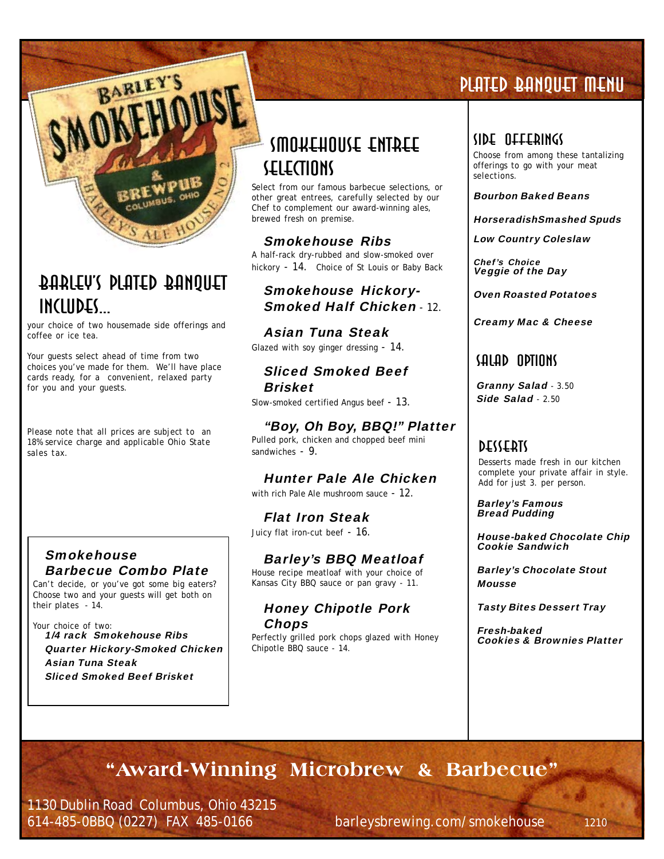

## Barley's Plated Banquet includes...

your choice of two housemade side offerings and coffee or ice tea.

Your guests select ahead of time from two choices you've made for them. We'll have place cards ready, for a convenient, relaxed party for you and your guests.

*Please note that all prices are subject to an 18% service charge and applicable Ohio State sales tax.*

#### Smokehouse Barbecue Combo Plate

Can't decide, or you've got some big eaters? Choose two and your guests will get both on their plates - 14.

Your choice of two: 1/4 rack Smokehouse Ribs Quarter Hickory-Smoked Chicken Asian Tuna Steak Sliced Smoked Beef Brisket

## Smokehouse Entree Selections

Select from our famous barbecue selections, or other great entrees, carefully selected by our Chef to complement our award-winning ales, brewed fresh on premise.

### Smokehouse Ribs

A half-rack dry-rubbed and slow-smoked over hickory - 14. Choice of St Louis or Baby Back

#### Smokehouse Hickory-Smoked Half Chicken - 12

### Asian Tuna Steak

Glazed with soy ginger dressing - 14.

### Sliced Smoked Beef Brisket

Slow-smoked certified Angus beef - 13.

### "Boy, Oh Boy, BBQ!" Platter

Pulled pork, chicken and chopped beef mini sandwiches - 9.

### Hunter Pale Ale Chicken

with rich Pale Ale mushroom sauce - 12.

Flat Iron Steak

Juicy flat iron-cut beef - 16.

### Barley's BBQ Meatloaf

House recipe meatloaf with your choice of Kansas City BBQ sauce or pan gravy - 11.

#### Honey Chipotle Pork Chops

Perfectly grilled pork chops glazed with Honey Chipotle BBQ sauce - 14.

## Plated Banquet Menu

#### Side Offerings

Choose from among these tantalizing offerings to go with your meat selections.

Bourbon Baked Beans

HorseradishSmashed Spuds

Low Country Coleslaw

Chef's Choice Veggie of the Day

#### Oven Roasted Potatoes

Creamy Mac & Cheese

## Salad Options

Granny Salad - 3.50 Side Salad - 2.50

### **DESSEBIS**

Desserts made fresh in our kitchen complete your private affair in style. Add for just 3. per person.

Barley's Famous Bread Pudding

House-baked Chocolate Chip Cookie Sandwich

Barley's Chocolate Stout **Mousse** 

Tasty Bites Dessert Tray

Fresh-baked Cookies & Brownies Platter

## **"Award-Winning Microbrew & Barbecue"**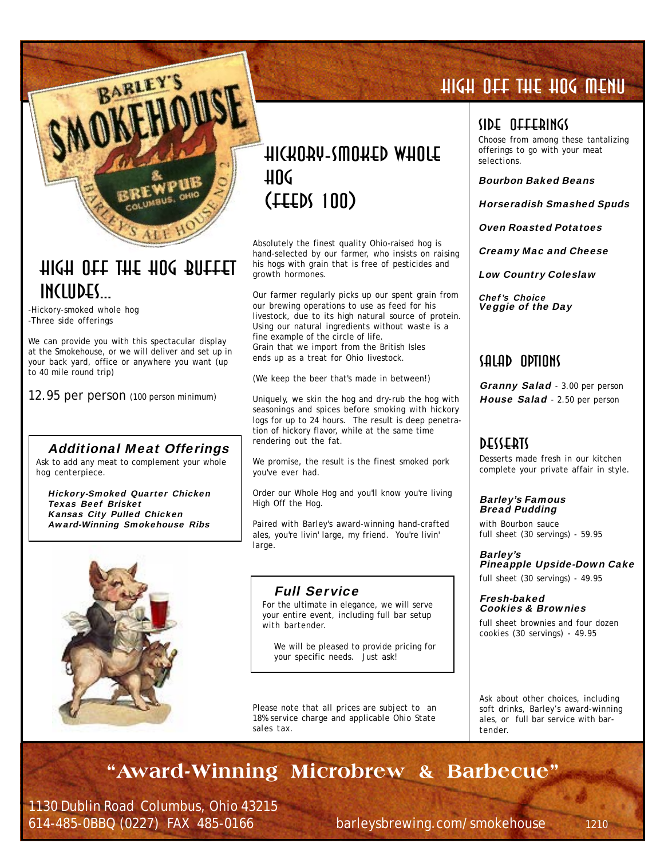

## high off the hog buffet includes...

-Hickory-smoked whole hog -Three side offerings

We can provide you with this spectacular display at the Smokehouse, or we will deliver and set up in your back yard, office or anywhere you want (up to 40 mile round trip)

12.95 per person (100 person minimum)

#### Additional Meat Offerings

Ask to add any meat to complement your whole hog centerpiece.

Hickory-Smoked Quarter Chicken Texas Beef Brisket Kansas City Pulled Chicken Award-Winning Smokehouse Ribs



## hickory-smoked whole 11 UC (feeds 100)

Absolutely the finest quality Ohio-raised hog is hand-selected by our farmer, who insists on raising his hogs with grain that is free of pesticides and growth hormones.

Our farmer regularly picks up our spent grain from our brewing operations to use as feed for his livestock, due to its high natural source of protein. Using our natural ingredients without waste is a fine example of the circle of life. Grain that we import from the British Isles ends up as a treat for Ohio livestock.

(We keep the beer that's made in between!)

Uniquely, we skin the hog and dry-rub the hog with seasonings and spices before smoking with hickory logs for up to 24 hours. The result is deep penetration of hickory flavor, while at the same time rendering out the fat.

We promise, the result is the finest smoked pork you've ever had.

Order our Whole Hog and you'll know you're living High Off the Hog.

Paired with Barley's award-winning hand-crafted ales, you're livin' large, my friend. You're livin' large.

#### Full Service

For the ultimate in elegance, we will serve your entire event, including full bar setup with bartender.

We will be pleased to provide pricing for your specific needs. Just ask!

*Please note that all prices are subject to an 18% service charge and applicable Ohio State sales tax.*

## HIGH OFF THE HOG Menu

#### Side Offerings

Choose from among these tantalizing offerings to go with your meat selections.

Bourbon Baked Beans

Horseradish Smashed Spuds

Oven Roasted Potatoes

Creamy Mac and Cheese

Low Country Coleslaw

Chef's Choice Veggie of the Day

### Salad Options

Granny Salad - 3.00 per person House Salad - 2.50 per person

### **DESSERIS**

Desserts made fresh in our kitchen complete your private affair in style.

Barley's Famous Bread Pudding

with Bourbon sauce full sheet (30 servings) - 59.95

Barley's Pineapple Upside-Down Cake full sheet (30 servings) - 49.95

Fresh-baked Cookies & Brownies

full sheet brownies and four dozen cookies (30 servings) - 49.95

Ask about other choices, including soft drinks, Barley's award-winning ales, or full bar service with bartender.

## **"Award-Winning Microbrew & Barbecue"**